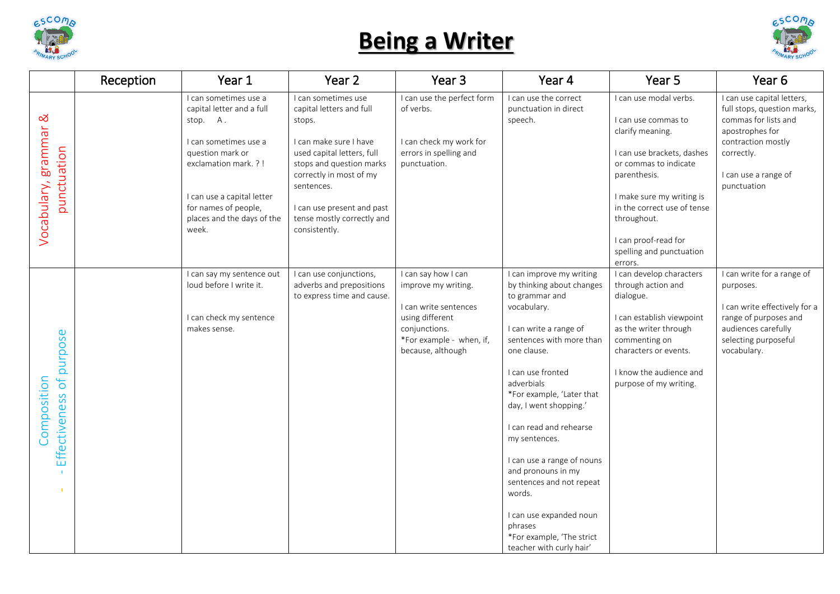

## **Being a Writer**



|                                         | Reception | Year 1                                                                                                                                                                                                                           | Year 2                                                                                                                                                                                                                                                              | Year <sub>3</sub>                                                                                                                                        | Year 4                                                                                                                                                                                                                                                                                                                                                                                                                                                                                     | Year 5                                                                                                                                                                                                                                                                             | Year <sub>6</sub>                                                                                                                                                               |
|-----------------------------------------|-----------|----------------------------------------------------------------------------------------------------------------------------------------------------------------------------------------------------------------------------------|---------------------------------------------------------------------------------------------------------------------------------------------------------------------------------------------------------------------------------------------------------------------|----------------------------------------------------------------------------------------------------------------------------------------------------------|--------------------------------------------------------------------------------------------------------------------------------------------------------------------------------------------------------------------------------------------------------------------------------------------------------------------------------------------------------------------------------------------------------------------------------------------------------------------------------------------|------------------------------------------------------------------------------------------------------------------------------------------------------------------------------------------------------------------------------------------------------------------------------------|---------------------------------------------------------------------------------------------------------------------------------------------------------------------------------|
| ಹ<br>Vocabulary, grammar<br>punctuation |           | I can sometimes use a<br>capital letter and a full<br>stop. A.<br>I can sometimes use a<br>question mark or<br>exclamation mark. ?!<br>I can use a capital letter<br>for names of people,<br>places and the days of the<br>week. | I can sometimes use<br>capital letters and full<br>stops.<br>I can make sure I have<br>used capital letters, full<br>stops and question marks<br>correctly in most of my<br>sentences.<br>I can use present and past<br>tense mostly correctly and<br>consistently. | I can use the perfect form<br>of verbs.<br>I can check my work for<br>errors in spelling and<br>punctuation.                                             | I can use the correct<br>punctuation in direct<br>speech.                                                                                                                                                                                                                                                                                                                                                                                                                                  | I can use modal verbs.<br>I can use commas to<br>clarify meaning.<br>I can use brackets, dashes<br>or commas to indicate<br>parenthesis.<br>I make sure my writing is<br>in the correct use of tense<br>throughout.<br>I can proof-read for<br>spelling and punctuation<br>errors. | I can use capital letters,<br>full stops, question marks,<br>commas for lists and<br>apostrophes for<br>contraction mostly<br>correctly.<br>I can use a range of<br>punctuation |
| Effectiveness of purpose<br>Composition |           | I can say my sentence out<br>loud before I write it.<br>I can check my sentence<br>makes sense.                                                                                                                                  | I can use conjunctions,<br>adverbs and prepositions<br>to express time and cause.                                                                                                                                                                                   | I can say how I can<br>improve my writing.<br>I can write sentences<br>using different<br>conjunctions.<br>*For example - when, if,<br>because, although | I can improve my writing<br>by thinking about changes<br>to grammar and<br>vocabulary.<br>I can write a range of<br>sentences with more than<br>one clause.<br>I can use fronted<br>adverbials<br>*For example, 'Later that<br>day, I went shopping.'<br>I can read and rehearse<br>my sentences.<br>I can use a range of nouns<br>and pronouns in my<br>sentences and not repeat<br>words.<br>I can use expanded noun<br>phrases<br>*For example, 'The strict<br>teacher with curly hair' | I can develop characters<br>through action and<br>dialogue.<br>I can establish viewpoint<br>as the writer through<br>commenting on<br>characters or events.<br>I know the audience and<br>purpose of my writing.                                                                   | I can write for a range of<br>purposes.<br>I can write effectively for a<br>range of purposes and<br>audiences carefully<br>selecting purposeful<br>vocabulary.                 |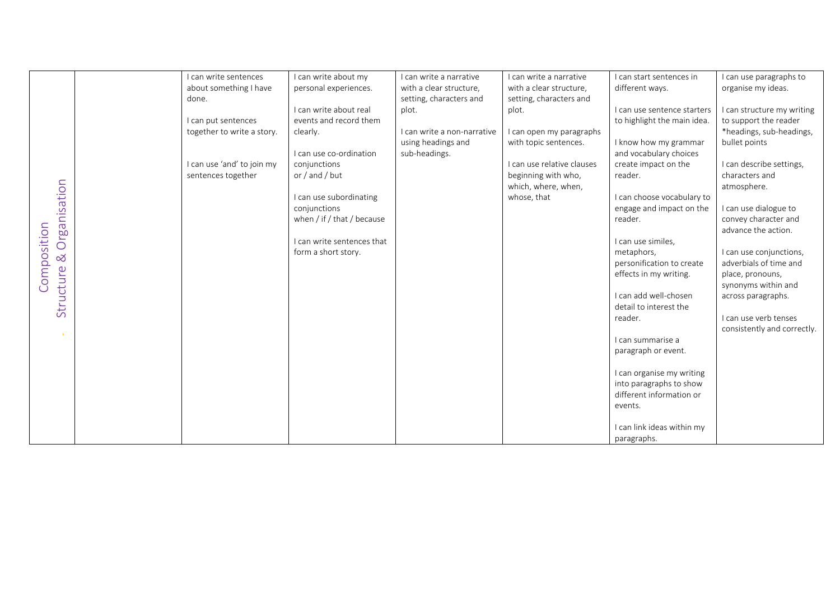|                          | I can write sentences      | I can write about my       | I can write a narrative     | I can write a narrative    | I can start sentences in    | I can use paragraphs to     |
|--------------------------|----------------------------|----------------------------|-----------------------------|----------------------------|-----------------------------|-----------------------------|
|                          | about something I have     | personal experiences.      | with a clear structure,     | with a clear structure,    | different ways.             | organise my ideas.          |
|                          | done.                      |                            | setting, characters and     | setting, characters and    |                             |                             |
|                          |                            | I can write about real     | plot.                       | plot.                      | I can use sentence starters | I can structure my writing  |
|                          | I can put sentences        | events and record them     |                             |                            | to highlight the main idea. | to support the reader       |
|                          | together to write a story. | clearly.                   | I can write a non-narrative | I can open my paragraphs   |                             | *headings, sub-headings,    |
|                          |                            |                            | using headings and          | with topic sentences.      | I know how my grammar       | bullet points               |
|                          |                            | I can use co-ordination    | sub-headings.               |                            | and vocabulary choices      |                             |
|                          | I can use 'and' to join my | conjunctions               |                             | I can use relative clauses | create impact on the        | I can describe settings,    |
|                          | sentences together         | or / and / but             |                             | beginning with who,        | reader.                     | characters and              |
|                          |                            |                            |                             |                            |                             |                             |
| Organisation             |                            |                            |                             | which, where, when,        |                             | atmosphere.                 |
|                          |                            | I can use subordinating    |                             | whose, that                | I can choose vocabulary to  |                             |
|                          |                            | conjunctions               |                             |                            | engage and impact on the    | I can use dialogue to       |
|                          |                            | when / if / that / because |                             |                            | reader.                     | convey character and        |
|                          |                            |                            |                             |                            |                             | advance the action.         |
|                          |                            | I can write sentences that |                             |                            | I can use similes,          |                             |
| $\infty$                 |                            | form a short story.        |                             |                            | metaphors,                  | I can use conjunctions,     |
|                          |                            |                            |                             |                            | personification to create   | adverbials of time and      |
| Composition<br>Structure |                            |                            |                             |                            | effects in my writing.      | place, pronouns,            |
|                          |                            |                            |                             |                            |                             | synonyms within and         |
|                          |                            |                            |                             |                            | I can add well-chosen       | across paragraphs.          |
|                          |                            |                            |                             |                            | detail to interest the      |                             |
|                          |                            |                            |                             |                            | reader.                     | I can use verb tenses       |
|                          |                            |                            |                             |                            |                             | consistently and correctly. |
|                          |                            |                            |                             |                            | I can summarise a           |                             |
|                          |                            |                            |                             |                            | paragraph or event.         |                             |
|                          |                            |                            |                             |                            |                             |                             |
|                          |                            |                            |                             |                            | I can organise my writing   |                             |
|                          |                            |                            |                             |                            | into paragraphs to show     |                             |
|                          |                            |                            |                             |                            | different information or    |                             |
|                          |                            |                            |                             |                            | events.                     |                             |
|                          |                            |                            |                             |                            |                             |                             |
|                          |                            |                            |                             |                            | I can link ideas within my  |                             |
|                          |                            |                            |                             |                            | paragraphs.                 |                             |